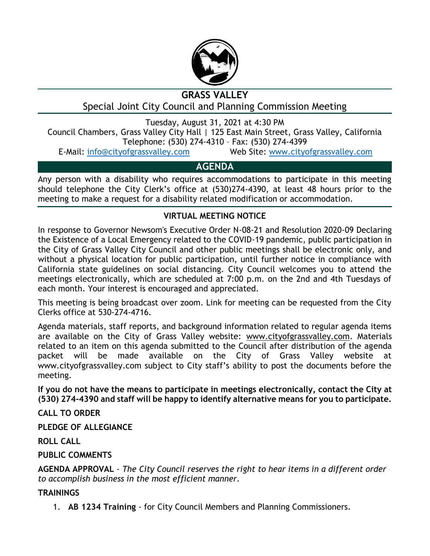

# **GRASS VALLEY**

Special Joint City Council and Planning Commission Meeting

Tuesday, August 31, 2021 at 4:30 PM

Council Chambers, Grass Valley City Hall | 125 East Main Street, Grass Valley, California Telephone: (530) 274-4310 – Fax: (530) 274-4399

E-Mail: [info@cityofgrassvalley.com](mailto:info@cityofgrassvalley.com) Web Site: [www.cityofgrassvalley.com](http://www.cityofgrassvalley.com/)

## **AGENDA**

Any person with a disability who requires accommodations to participate in this meeting should telephone the City Clerk's office at (530)274-4390, at least 48 hours prior to the meeting to make a request for a disability related modification or accommodation.

### **VIRTUAL MEETING NOTICE**

In response to Governor Newsom's Executive Order N-08-21 and Resolution 2020-09 Declaring the Existence of a Local Emergency related to the COVID-19 pandemic, public participation in the City of Grass Valley City Council and other public meetings shall be electronic only, and without a physical location for public participation, until further notice in compliance with California state guidelines on social distancing. City Council welcomes you to attend the meetings electronically, which are scheduled at 7:00 p.m. on the 2nd and 4th Tuesdays of each month. Your interest is encouraged and appreciated.

This meeting is being broadcast over zoom. Link for meeting can be requested from the City Clerks office at 530-274-4716.

Agenda materials, staff reports, and background information related to regular agenda items are available on the City of Grass Valley website: www.cityofgrassvalley.com. Materials related to an item on this agenda submitted to the Council after distribution of the agenda packet will be made available on the City of Grass Valley website at www.cityofgrassvalley.com subject to City staff's ability to post the documents before the meeting.

**If you do not have the means to participate in meetings electronically, contact the City at (530) 274-4390 and staff will be happy to identify alternative means for you to participate.**

**CALL TO ORDER**

**PLEDGE OF ALLEGIANCE**

**ROLL CALL**

#### **PUBLIC COMMENTS**

**AGENDA APPROVAL** - *The City Council reserves the right to hear items in a different order to accomplish business in the most efficient manner.*

#### **TRAININGS**

1. **AB 1234 Training** - for City Council Members and Planning Commissioners.